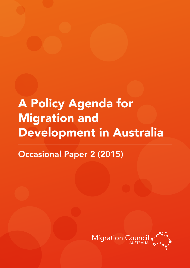# **A Policy Agenda for Migration and** Development in Australia

**Occasional Paper 2 (2015)** 

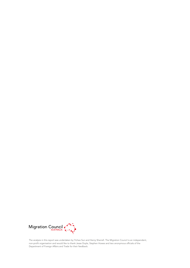

The analysis in this report was undertaken by Yichao Sun and Henry Sherrell. The Migration Council is an independent, non-profit organisation and would like to thank Jesse Doyle, Stephen Howes and two anonymous officials of the Department of Foreign Affairs and Trade for their feedback.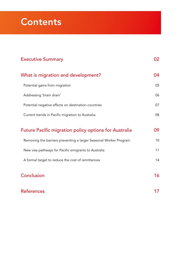# **Contents**

| <b>Executive Summary</b>                                          | 02. |
|-------------------------------------------------------------------|-----|
| What is migration and development?                                | 04  |
| Potential gains from migration                                    | 05  |
| Addressing 'brain drain'                                          | 06  |
| Potential negative effects on destination countries               | 07  |
| Current trends in Pacific migration to Australia                  | 08  |
| <b>Future Pacific migration policy options for Australia</b>      | 09  |
| Removing the barriers preventing a larger Seasonal Worker Program | 10  |
| New visa pathways for Pacific emigrants to Australia              | 11  |
| A formal target to reduce the cost of remittances                 | 14  |
| Conclusion                                                        | 16  |

### References 17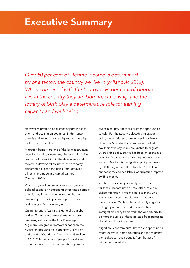Over 50 per cent of lifetime income is determined by one factor: the country we live in (Milanovic 2012). When combined with the fact over 96 per cent of people live in the country they are born in, citizenship and the lottery of birth play a determinative role for earning capacity and well-being.

However migration also creates opportunities for origin and destination countries. In this sense, there is a triple win: for the migrant, for the origin and for the destination.

Migration barriers are one of the largest structural costs for the global economy. For example, if five per cent of those living in the developing world moved to developed countries, the economy gains would exceed the gains from removing all remaining trade and capital barriers (Clemens 2011).

While the global community spends significant political capital on negotiating these trade barriers, there is very little focus on migration barriers. Leadership on this important topic is critical, particularly in Australia's region.

On immigration, Australia is generally a global outlier. 28 per cent of Australians were born overseas, well above the OECD average. A generous migration framework has seen the Australian population expand from 7.3 million at the end of World War Two to over 23 million in 2015. This has brought people from all over the world, in some cases out of abject poverty.

But as a country, there are greater opportunities to help. For the past two decades, migration policy has prioritised those with skills or family already in Australia. As international students pay their own way, many are unable to migrate. Overall, this policy stance has been an economic boon for Australia and those migrants who have arrived. Due to this immigration policy framework, by 2050, migration will contribute \$1.6 trillion to our economy and see labour participation improve by 15 per cent.

Yet there exists an opportunity to do more for those less fortunate by the lottery of birth. Skilled migration is not available to many who live in poorer countries. Family migration is too expensive. While skilled and family migration will rightly remain the bedrock of Australia's immigration policy framework, the opportunity to be more inclusive of those isolated from increasing global mobility is important.

Migration is not zero-sum. There are opportunities where Australia, home countries and the migrants themselves can each benefit from the act of migration to Australia.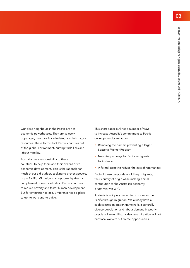Our close neighbours in the Pacific are not economic powerhouses. They are sparsely populated, geographically isolated and lack natural resources. These factors lock Pacific countries out of the global environment, hurting trade links and labour mobility.

Australia has a responsibility to these countries, to help them and their citizens drive economic development. This is the rationale for much of our aid budget, seeking to prevent poverty in the Pacific. Migration is an opportunity that can complement domestic efforts in Pacific countries to reduce poverty and foster human development. But for emigration to occur, migrants need a place to go, to work and to thrive.

This short paper outlines a number of ways to increase Australia's commitment to Pacific development by migration.

- Removing the barriers preventing a larger Seasonal Worker Program
- New visa pathways for Pacific emigrants to Australia
- A formal target to reduce the cost of remittances

Each of these proposals would help migrants, their country of origin while making a small contribution to the Australian economy, a rare 'win-win-win'.

Australia is uniquely placed to do more for the Pacific through migration. We already have a sophisticated migration framework, a culturally diverse population and labour demand in poorly populated areas. History also says migration will not hurt local workers but create opportunities.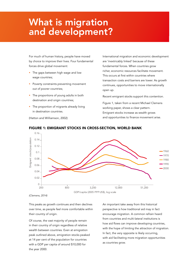# What is migration and development?

For much of human history, people have moved by choice to improve their lives. Four fundamental forces drive global movement:

- **The gaps between high wage and low** wage countries;
- **Poverty constraints preventing movement** out of poorer countries;
- The proportions of young adults in both destination and origin countries;
- The proportion of migrants already living in destination countries.

(Hatton and Williamson, 2002)

International migration and economic development are 'inextricably linked' because of these fundamental forces. When countries grow richer, economic resources facilitate movement. This occurs at first within countries where transaction costs and barriers are lower. As growth continues, opportunities to move internationally open up.

Recent emigrant stocks support this contention.

Figure 1, taken from a recent Michael Clemens working paper, shows a clear pattern. Emigrant stocks increase as wealth grows and opportunities to finance movement arise.



#### FIGURE 1: EMIGRANT STOCKS IN CROSS-SECTION, WORLD BANK

(Clemens, 2014)

This peaks as growth continues and then declines over time, as people feel more comfortable within their country of origin.

Of course, the vast majority of people remain in their country of origin regardless of relative wealth between countries. Even at emigration peak outlined above, emigration stocks peaked 7000 at 14 per cent of the population for countries with a GDP per capita of around \$10,000 for the year 2000. 5000

An important take away from this historical perspective is how traditional aid may in fact encourage migration. A common refrain heard from countries and multi-lateral institutions is how aid flows can improve developing countries, with the hope of limiting the attraction of migration. In fact, the very opposite is likely occurring, with aid facilitating more migration opportunities as countries grow.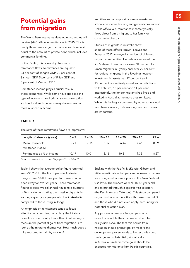## Potential gains from migration

The World Bank estimates developing countries will receive \$440 billion in remittances in 2015. This is nearly three times larger than official aid flows and equal to the amount of private debt, which includes commercial lending.

In the Pacific, this is seen by the size of remittance flows. Remittances are equal to 23 per cent of Tongan GDP, 20 per cent of Samoan GDP, 5 per cent of Fijian GDP and 3 per cent of Vanuatu GDP.

Remittance income plays a crucial role in these economies. While some have criticised this type of income is used primarily on consumption such as food and shelter, surveys have shown a more nuanced outcome.

Remittances can support business investment, school attendance, housing and general consumption. Unlike official aid, remittance income typically flows direct from a migrant to her family or community directly.

Studies of migrants in Australia show some of these effects. Brown, Leeves and Prayaga (2012) surveyed a number of different migrant communities. Households received the lion's share of remittances (over 60 per cent for urban migrants in Sydney and over 70 per cent for regional migrants in the Riverina) however investment in assets was 17 per cent and 13 per cent respectively as well as contributions to the church, 16 per cent and 11 per cent. Interestingly, the longer migrants had lived and worked in Australia, the more they remitted. While this finding is countered by other survey work from New Zealand, it shows long-term outcomes are important.

#### TABLE 1

The sizes of these remittance flows are impressive:

| Length of absence (years)  | $0 - 5$ |       | $5 - 10$ $10 - 15$ | $15 - 20$ | $20 - 25$ | $25 +$ |
|----------------------------|---------|-------|--------------------|-----------|-----------|--------|
| Mean Household             | 5.21    | 7 15  | A 39               | 6.44      | 7.46      | 8.09   |
| remittance ('000\$)        |         |       |                    |           |           |        |
| Remittances as % of income | 10 19   | 10.01 | 8.16               | 10.21     | 9.35      | 8.57   |

(Source: Brown, Leeves and Prayaga, 2012, Table 9)

Table 1 shows the average dollar figure remitted was ~\$5,200 for the first 5 years in Australia, rising to over \$8,000 per year for those who had been away for over 25 years. These remittance figures exceed typical annual household budgets in Tonga, demonstrating the massive disparity in earning capacity for people who live in Australia compared to those living in Tonga.

An emphasis on remittances tends to focus attention on countries, particularly the bilateral flows from one country to another. Another way to measure the potential gains from migration is to look at the migrants themselves. How much does a migrant stand to gain by moving?

Sticking with the Pacific, McKenzie, Gibson and Stillman estimate a 263 per cent increase in income for a Tongan who wins a place in the New Zealand visa lotto. The winners were all 18–45 years old and migrated through a specific visa category (the Pacific Access Category). This study compared migrants who won the lotto with those who didn't and those who did not even apply, accounting for potential selection bias.

Any process whereby a Tongan person can more than double their income must not be easily dismissed. The fact this occurs from migration should prompt policy makers and development professionals to better understand the large and substantial gains at stake. In Australia, similar income gains should be expected for migrants from Pacific countries.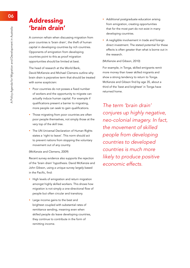## Addressing 'brain drain'

A common refrain when discussing migration from poor countries is 'brain drain', the theft of human capital in developing countries by rich countries. Opponents of emigration from developing countries point to this as proof migration opportunities should be limited at best.

The head of research at the World Bank, David McKenzie and Michael Clemens outline why brain drain is pejorative term that should be treated with some scepticism:

- Poor countries do not posses a fixed number of workers and the opportunity to migrate can actually induce human capital. For example if qualifications present a barrier to migrating, more people can seek to gain qualifications.
- Those migrating from poor countries are often poor people themselves, not simply those at the very top of the skill tree.
- The UN Universal Declaration of Human Rights states a 'right to leave'. This norm should act to prevent nations from stopping the voluntary movement out of any country.

#### (McKenzie and Clemens, 2009)

Recent survey evidence also supports the rejection of the 'brain drain' hypothesis. David McKenzie and John Gibson, using a unique survey largely based in the Pacific, find:

- High levels of emigration and return migration amongst highly skilled workers. This shows how migration is not simply a one-directional flow of people but often circular and transitory.
- Large income gains to the best and brightest coupled with substantial rates of remittance sending, meaning even when skilled people do leave developing countries, they continue to contribute in the form of remitting income.
- **Additional postgraduate education arising** from emigration, creating opportunities that for the most part do not exist in many developing countries.
- A negligible involvement in trade and foreign direct investment. The stated potential for these effects is often greater than what is borne out in the research.

(McKenzie and Gibson, 2010)

For example, in Tonga, skilled emigrants remit more money than lower skilled migrants and show a strong tendency to return to Tonga. McKenzie and Gibson find by age 35, about a third of the 'best and brightest' in Tonga have returned home.

The term 'brain drain' conjures up highly negative, neo-colonial imagery. In fact, the movement of skilled people from developing countries to developed countries is much more likely to produce positive economic effects.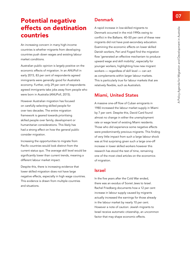## Potential negative effects on destination countries

An increasing concern in many high-income countries is whether migrants from developing countries push down wages and existing labour market conditions.

Australian public opinion is largely positive on the economic effects of migration. In an ANUPoll in early 2015, 83 per cent of respondents agreed immigrants were generally good for Australia's economy. Further, only 29 per cent of respondents agreed immigrants take jobs away from people who were born in Australia (ANUPoll, 2015).

However Australian migration has focused on carefully selecting skilled people for over two decades. The entire migration framework is geared towards prioritising skilled people over family, development or humanitarian considerations. This likely has had a strong effect on how the general public consider migration.

Increasing the opportunities to migrate from Pacific countries would look distinct from the current status quo. The average skill level would be significantly lower than current trends, meaning a different labour market impact.

Despite this, there is increasing evidence that lower skilled migration does not have large negative effects, especially in high wage countries. This evidence is drawn from multiple countries and situations.

### Denmark

A rapid increase in low-skilled migrants to Denmark occurred in the mid-1990s owing to conflict in the Balkans. 40–50 per cent of these new migrants did not have post-secondary education. Examining the economic effects on lower skilled Danish workers, Peri and Foged find the migration flow 'generated an effective mechanism to produce upward wage and skill mobility', especially for younger workers, highlighting how new migrant workers — regardless of skill level — can act as complements within larger labour markets. This is particularly true for labour markets that are relatively flexible, such as Australia's.

### Miami, United States

A massive one-off flow of Cuban emigrants in 1980 increased the labour market supply in Miami by 7 per cent. Despite this, David Card found almost no change in either the unemployment rate or wage level of existing Miami residents. Those who did experience some negative effects were predominantly previous migrants. This finding of very little impact from such a large labour shock was at first surprising given such a large one-off increase in lower skilled workers however this research has stood the test of time, remaining one of the most cited articles on the economics of migration.

### Israel

In the five years after the Cold War ended, there was an exodus of Soviet Jews to Israel. Rachel Friedberg documents how a 12 per cent increase in labour supply caused by migrants actually increased the earnings for those already in the labour market by nearly 10 per cent. However a note of caution: Jewish migrants to Israel receive automatic citizenship, an uncommon factor that may shape economic effects.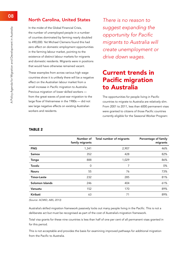### North Carolina, United States

In the midst of the Global Financial Crisis, the number of unemployed people in a number of counties dominated by farming nearly doubled to 490,000. Yet Michael Clemens found this had zero effect on domestic employment opportunities in the farming labour market, pointing to the existence of distinct labour markets for migrants and domestic residents. Migrants were in positions that would have otherwise remained vacant.

These examples from across various high wage countries show it is unlikely there will be a negative effect on the Australian labour market from a small increase in Pacific migration to Australia. Previous migration of lower skilled workers from the great waves of post-war migration to the large flow of Vietnamese in the 1980s — did not see large negative effects on existing Australian workers and residents.

There is no reason to suggest expanding the opportunity for Pacific migrants to Australia will create unemployment or drive down wages.

## Current trends in Pacific migration to Australia

The opportunities for people living in Pacific countries to migrate to Australia are relatively slim. From 2001 to 2011, less than 6000 permanent visas were granted to citizens of those Pacific countries currently eligible for the Seasonal Worker Program:

#### TABLE 2

|                    | Number of<br>family migrants | Total number of migrants | Percentage of family<br>migrants |
|--------------------|------------------------------|--------------------------|----------------------------------|
| <b>PNG</b>         | 1,341                        | 2,907                    | 46%                              |
| Samoa              | 352                          | 428                      | 82%                              |
| Tonga              | 888                          | 1,029                    | 86%                              |
| Tuvalu             | 0                            | 7                        | 0%                               |
| <b>Nauru</b>       | 55                           | 76                       | 73%                              |
| <b>Timor-Leste</b> | 232                          | 285                      | 81%                              |
| Solomon Islands    | 246                          | 404                      | 61%                              |
| Vanuatu            | 152                          | 170                      | 89%                              |
| Kiribati           | 63                           | 71                       | 89%                              |
|                    |                              |                          |                                  |

(Source: ACMID, ABS, 2013)

Australia's skilled migration framework passively locks out many people living in the Pacific. This is not a deliberate act but must be recognised as part of the cost of Australia's migration framework.

Total visa grants for these nine countries is less than half of one per cent of all permanent visas granted in for this period.

This is not acceptable and provides the basis for examining improved pathways for additional migration from the Pacific to Australia.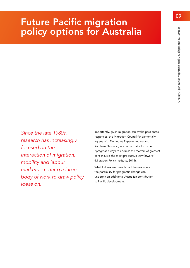# Future Pacific migration policy options for Australia

Since the late 1980s, research has increasingly focused on the interaction of migration, mobility and labour markets, creating a large body of work to draw policy ideas on.

Importantly, given migration can evoke passionate responses, the Migration Council fundamentally agrees with Demetrius Papademetriou and Kathleen Newland, who write that a focus on "pragmatic ways to address the matters of greatest consensus is the most productive way forward" (Migration Policy Institute, 2014).

What follows are three broad themes where the possibility for pragmatic change can underpin an additional Australian contribution to Pacific development.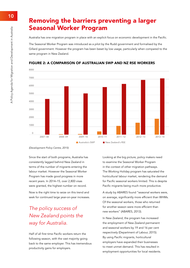### Removing the barriers preventing a larger Seasonal Worker Program 200 800 3,200 12,800 51,200

Australia has one migration program in place with an explicit focus on economic development in the Pacific.

The Seasonal Worker Program was introduced as a pilot by the Rudd government and formalised by the Gillard government. However the program has been beset by low usage, particularly when compared to the same program in New Zealand.



#### FIGURE 2: A COMPARISON OF AUSTRALIAN SWP AND NZ RSE WORKERS

(Development Policy Centre, 2015) 30.0%

Since the start of both programs, Australia has consistently lagged behind New Zealand in terms of the number of migrants entering the labour market. However the Seasonal Worker Program has made good progress in more recent years. In 2014–15, over 2,800 visas were granted, the highest number on record.

Now is the right time to seize on this trend and seek for continued large year-on-year increases.

### The policy success of New Zealand points the way for Australia.<br>' t<br>Il .<br>In

Half of all first time Pacific workers return the following season, with the vast majority going back to the same employer. This has tremendous and the componers have expanded then productivity gains for employers. .<br>M

Looking at the big picture, policy makers need to examine the Seasonal Worker Program in the context of other migration pathways. The Working Holiday program has saturated the horticultural labour market, rendering the demand for Pacific seasonal workers limited. This is despite Pacific migrants being much more productive.

A study by ABARES found "seasonal workers were, on average, significantly more efficient than WHMs. Of the seasonal workers, those who returned for another season were more efficient than new workers" (ABARES, 2013).

In New Zealand, the program has increased the employment of New Zealand permanent and seasonal workers by 19 and 16 per cent respectively (Department of Labour, 2015). By using Pacific migrants, horticultural employers have expanded their businesses to meet unmet demand. This has resulted in employment opportunities for local residents. e<br>Idsp n<br>|<br>([ uw<br>ay<br>Fo | p<br>|<br>|nt<br>It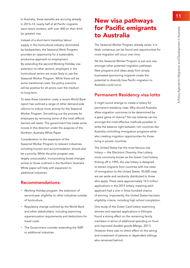In Australia, these benefits are accruing already. In 2013–14, nearly half of all Pacific migrants were return workers, with over 400 on their third (or greater) visa.

Instead of a short-term transitory labour supply in the horticultural industry dominated by backpackers, the Seasonal Work Program provides an opportunity for a sustainable, productive approach to employment. By extending the second Working Holiday visa extension to other sectors, employers in the horticultural sector are more likely to use the Seasonal Worker Program. While there will be some transitional costs, the policy outcome will be positive for all actors over the medium to long-term.

To ease these transition costs, a recent World Bank report has outlined a range of other demand-side reforms to induce more activity for the Seasonal Worker Program. Smoothing out the process for employers by removing some of the most difficult barriers will assist. The government has made some moves in this direction under the auspices of the Northern Australia White Paper.

Consideration to the expansion of the Seasonal Worker Program to relevant industries, including tourism and accommodation, should also be a priority. While the pilot program was largely unsuccessful, incorporating broad changes similar to those outlined in the Northern Australia White paper will help with expansion to additional industries.

### Recommendations:

- **Working Holiday program: the extension of** second-year eligibility to other industries outside of horticulture.
- Regulatory change outlined by the World Bank and other stakeholders, including examining superannuation requirements and deductions for travel costs.
- The Government consider extending the SWP to additional industries.

## New visa pathways for Pacific emigrants to Australia

The Seasonal Worker Program already exists. It is likely consensus can be found and opportunities for more migration will occur over time.

Yet the Seasonal Worker Program is just one visa amongst other potential migration pathways. New programs and ideas away from simply businesses sponsoring migrants create the potential to diversify how Pacific migration to Australia could occur.

### Permanent Residency visa lotto

It might sound strange to create a lottery for permanent residency visas. Why should Australia allow migration outcomes to be determined by a giant game of chance? Yet visa lotteries can be amongst the most effective methods possible to strike the balance right between rich countries like Australia controlling immigration programs while also creating migration opportunities for those living in poorer countries.

The United States has the most famous visa lottery — the Electronic Diversity Visa Lottery, more commonly known as the Green Card lottery. Kicking off in 1995, the visa lottery is designed to attract migrants from countries with low rates of immigration to the United States. 50,000 visas are set aside and randomly distributed to those who apply. There were approximately 14.5 million applications in the 2015 lottery, meaning each applicant had a one in three hundred chance of winning. Importantly, the United States has basic eligibility criteria, including high school completion.

One study of the Green Card lottery examining winners and rejected applications in Ethiopia found a strong effect on the remaining family members in terms of additional spending on food and improved durable goods (Mergo, 2011). However there was no direct effect on the saving and investment of parents or dependent siblings who remained behind.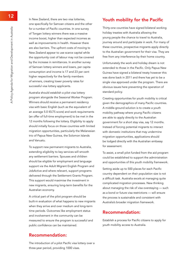In New Zealand, there are two visa lotteries, one specifically for Samoan citizens and the other for a number of Pacific countries. In one survey of Tongan lottery winners there was a massive income boost, higher than expected incomes as well as improvements in health. However there are also barriers. The upfront costs of moving to New Zealand appear to use scarce capital while the opportunity cost of labour may not be covered by the increase in remittances. In another survey of Samoan lottery winners and losers, per capita consumption and income is 17 and 23 per cent higher respectively for the family members of winners, creating lower poverty rates for successful visa lottery applicants.

Australia should establish a pilot visa lottery program alongside the Seasonal Worker Program. Winners should receive a permanent residency visa with basic English (such as the equivalent of an average 5.0 IELTS score) and work requirements (an offer of full-time employment) to be met in the 12 months following the lottery. Eligibility to apply should initially focus on those countries with limited migration opportunities, particularly the Melanesian trio of Papua New Guinea, the Solomon Islands and Vanuatu.

To support new permanent migrants to Australia, extending eligibility to key services will smooth any settlement barriers. Spouses and children should be eligible for employment and language support via the Adult Migrant English Program and JobActive and where relevant, support programs delivered through the Settlement Grants Program. This support would maximise the investment in new migrants, ensuring long-term benefits for the Australian economy.

A critical part of the pilot program should be built-in evaluation of what happens to new migrants when they arrive and over medium and long-term time periods. Outcomes like employment status and involvement in the community can be measured to ensure the program is successful and public confidence can be maintained.

### Recommendation:

The introduction of a pilot Pacific visa lottery over a three-year period, providing 1000 visas.

### Youth mobility for the Pacific

Thirty-one countries have signed bilateral working holiday treaties with Australia allowing the young people the chance to travel to Australia, journey around and participate in work. For many of these countries, prospective migrants apply directly to the Australian government for their visa. They are free from any interference by their home country.

Unfortunately the work and holiday dream is not extended to those in the Pacific. Only Papua New Guinea have signed a bilateral treaty however this was done back in 2011 and there has yet to be a single visa approved under the program. There are obvious issues here preventing the operation of standard policy.

Creating opportunities for youth mobility is critical given the demographics of many Pacific countries. A middle-ground solution is to create a youth mobility pathway where young Pacific citizens are able to apply directly to the Australian government for a short stay visa, say 12 months. Instead of forcing potential migrants to interact with domestic institutions that may undermine migration opportunities, applications should be lodged directly with the Australian embassy for assessment.

To assist, a small pilot funded from the aid program could be established to support the administration and opportunities of this youth mobility framework.

Setting aside up to 500 places for each Pacific country dependent on their population size is not a difficult task. Australia excels at managing quite complicated migration processes. New thinking about managing the risk of visa overstaying — such as a bond or future visa restrictions — will ensure the process is sustainable and consistent with Australia's broader migration framework.

### Recommendation:

Establish a process for Pacific citizens to apply for youth mobility access to Australia.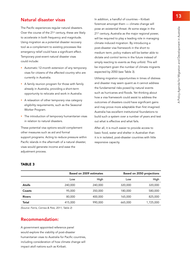### Natural disaster visas

The Pacific experiences regular natural disasters. Over the course of the 21<sup>st</sup> century, these are likely to accelerate in both frequency and magnitude. Using migration as a potential disaster recovery tool as a complement to existing processes like emergency relief could have a significant effect. Temporary post-event natural disaster visas could include:

- Automatic 12-month extension of any temporary visas for citizens of the affected country who are currently in Australia.
- A family reunion program for those with family already in Australia, providing a short-term opportunity to relocate and work in Australia.
- A relaxation of other temporary visa category eligibility requirements, such as the Seasonal Worker Program.
- **The introduction of temporary humanitarian visas** in relation to natural disasters.

These potential visa options would complement other measures such as aid and formal support programs. Acting to reduce pressure within Pacific islands in the aftermath of a natural disaster, visas would generate income and ease the adjustment process.

In addition, a handful of countries – Kiribati foremost amongst them -- climate change will pose an existential threat. At some stage in the 21<sup>st</sup> century, Australia as the major regional power, will be required to play a leading role in managing climate induced migration. By introducing a post-disaster visa framework in the short to medium term, policy makers will be better able to dictate and control terms in the future instead of simply reacting to events as they unfold. This will be important given the number of climate migrants expected by 2050 (see Table 3).

Utilising migration opportunities in times of distress and disaster may seem quaint as it cannot address the fundamental risks posed by natural events such as hurricanes and floods. Yet thinking about how a visa framework could assist to address the outcomes of disasters could have significant gains and may prove more adaptable than first imagined. Australia has excellent institutional foundations to build such a system over a number of years and test out what is effective and what fails.

After all, it is much easier to provide access to basic food, water and shelter in Australian than it is in isolated, post-disaster countries with little responsive capacity.

|               |         | Based on 2009 estimates |         | Based on 2050 projections |  |
|---------------|---------|-------------------------|---------|---------------------------|--|
|               | Low     | High                    | Low     | High                      |  |
| <b>Atolls</b> | 240,000 | 240,000                 | 320,000 | 320,000                   |  |
| Coasts        | 95,000  | 350,000                 | 180,000 | 580,000                   |  |
| <b>Rivers</b> | 80,000  | 400,000                 | 165,000 | 825,000                   |  |
| Total         | 415,000 | 990,000                 | 665,000 | 1,725,000                 |  |

#### TABLE 3

(Source: Ferris, Cernea & Petz, 2011, Table 2)

### Recommendation:

A government appointed reference panel would explore the viability of post-disaster humanitarian visas to Australia for Pacific countries, including consideration of how climate change will impact atoll nations such as Kiribati.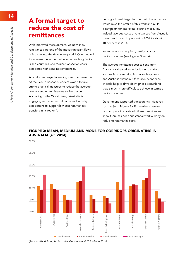## A formal target to 0 **reduce the cost of** *a campaign for improving existing r* remittances

With improved measurement, we now know remittances are one of the most significant flows of income into the developing world. One method to increase the amount of income reaching Pacific island countries is to reduce transaction costs associated with sending remittances.

Australia has played a leading role to achieve this. 6000 At the G20 in Brisbane, leaders vowed to take strong practical measures to reduce the average cost of sending remittances to five per cent. According to the World Bank, "Australia is 4000 engaging with commercial banks and industry 3000 associations to support low-cost remittances transfers in its region".

Setting a formal target for the cost of remittances would raise the profile of this work and build **COP** a campaign for improving existing measures. Indeed, average costs of remittances from Australia have shrunk from 14 per cent in 2009 to about 10 per cent in 2014.

> Yet more work is required, particularly for Pacific countries (see Figures 3 and 4).

The average remittance cost to send from Australia is skewed lower by larger corridors such as Australia-India, Australia-Philippines and Australia-Vietnam. Of course, economies of scale help to drive down prices, something that is much more difficult to achieve in terms of Pacific countries.

Government supported transparency initiatives such as Send Money Pacific — where people can compare the costs of different services show there has been substantial work already on reducing remittance costs.

### FIGURE 3: MEAN, MEDIUM AND MODE FOR CORRIDORS ORIGINATING IN AUSTRALIA (Q1 2014)



(Source: World Bank, for Australian Government G20 Brisbane 2014)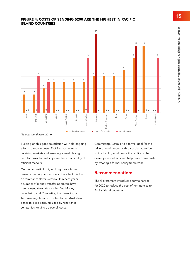### FIGURE 4: COSTS OF SENDING \$200 ARE THE HIGHEST IN PACIFIC ISLAND COUNTRIES



(Source: World Bank, 2015)

Building on this good foundation will help ongoing efforts to reduce costs. Tackling obstacles in receiving markets and ensuring a level playing field for providers will improve the sustainability of efficient markets.

On the domestic front, working through the nexus of security concerns and the effect this has on remittance flows is critical. In recent years, a number of money transfer operators have been closed down due to the Anti Money Laundering and Combating the Financing of Terrorism regulations. This has forced Australian banks to close accounts used by remittance companies, driving up overall costs.

Committing Australia to a formal goal for the price of remittances, with particular attention to the Pacific, would raise the profile of the development effects and help drive down costs by creating a formal policy framework.

### Recommendation:

The Government introduce a formal target for 2020 to reduce the cost of remittances to Pacific island countries.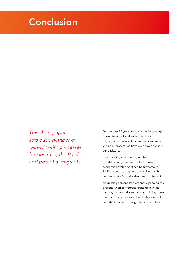# **Conclusion**

This short paper sets out a number of 'win-win-win' processes for Australia, the Pacific and potential migrants.

For the past 25 years, Australia has increasingly looked to skilled workers to orient our migration framework. This has paid dividends. Yet in the process, we have overlooked those in our backyard.

By expanding and opening up the possible immigration routes to Australia, economic development can be furthered in Pacific countries, migrants themselves can be nurtured while Australia also stands to benefit.

Addressing demand barriers and expanding the Seasonal Worker Program, creating new visa pathways to Australia and aiming to bring down the cost of remittances will each play a small but important role in fostering a triple win outcome.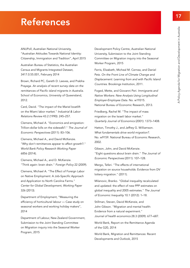# References

ANUPoll, Australian National University, "Australian Attitudes Towards National Identity: Citizenship, Immigration and Tradition", April 2015

Australian Bureau of Statistics, the Australian Census and Migrants Integrated Dataset, 3417.0.55.001, February 2014

Brown, Richard PC, Gareth D. Leeves, and Prabha Prayaga. An analysis of recent survey data on the remittances of Pacific island migrants in Australia. School of Economics, University of Queensland, 2012.

Card, David. "The impact of the Mariel boatlift on the Miami labor market." Industrial & Labor Relations Review 43.2 (1990): 245–257.

Clemens, Michael A. "Economics and emigration: Trillion-dollar bills on the sidewalk?." The Journal of Economic Perspectives (2011): 83–106.

Clemens, Michael A., and David McKenzie. "Why don't remittances appear to affect growth?." World Bank Policy Research Working Paper 6856 (2014).

Clemens, Michael A., and D. McKenzie. "Think again: brain drain." Foreign Policy 22 (2009).

Clemens, Michael A. "The Effect of Foreign Labor on Native Employment: A Job-Specific Approach and Application to North Carolina Farms." Center for Global Development, Working Paper 326 (2013).

Department of Employment, "Measuring the efficiency of horticultural labour — Case study on seasonal workers and working holiday makers", 2014

Department of Labour, New Zealand Government, Submission to the Joint Standing Committee on Migration inquiry into the Seasonal Worker Program, 2015

Development Policy Centre, Australian National University, Submission to the Joint Standing Committee on Migration inquiry into the Seasonal Worker Program, 2015

Ferris, Elizabeth, Micheal M. Cernea, and Daniel Petz. On the Front Line of Climate Change and Displacement: Learning from and with Pacific Island Countries. Brookings Institution, 2011.

Foged, Mette, and Giovanni Peri. Immigrants and Native Workers: New Analysis Using Longitudinal Employer-Employee Data. No. w19315. National Bureau of Economic Research, 2013.

Friedberg, Rachel M. "The impact of mass migration on the Israeli labor market." Quarterly Journal of Economics (2001): 1373–1408.

Hatton, Timothy J., and Jeffrey G. Williamson. What fundamentals drive world migration?. No. w9159. National Bureau of Economic Research, 2002.

Gibson, John, and David McKenzie. "Eight questions about brain drain." The Journal of Economic Perspectives (2011): 107–128.

Mergo, Teferi. "The effects of international migration on source households: Evidence from DV lottery migration." (2011).

Milanovic, Branko. "Global inequality recalculated and updated: the effect of new PPP estimates on global inequality and 2005 estimates." The Journal of Economic Inequality 10.1 (2012): 1–18.

Stillman, Steven, David McKenzie, and John Gibson. "Migration and mental health: Evidence from a natural experiment." Journal of health economics 28.3 (2009): 677–687.

World Bank, Report on the Remittance Agenda of the G20, 2014

World Bank, Migration and Remittances: Recent Developments and Outlook, 2015